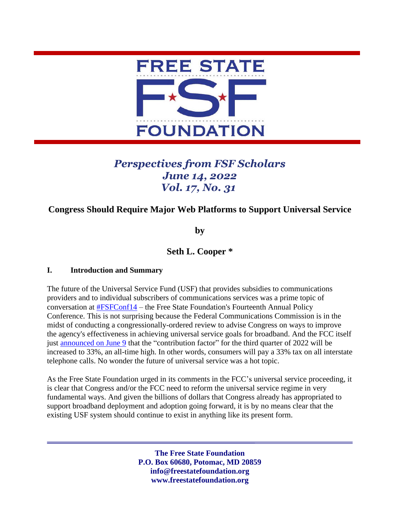

# *Perspectives from FSF Scholars June 14, 2022 Vol. 17, No. 31*

# **Congress Should Require Major Web Platforms to Support Universal Service**

**by** 

# **Seth L. Cooper \***

#### **I. Introduction and Summary**

The future of the Universal Service Fund (USF) that provides subsidies to communications providers and to individual subscribers of communications services was a prime topic of conversation at [#FSFConf14](https://www.youtube.com/watch?v=ODwKq6jPrDM&t=19s) – the Free State Foundation's Fourteenth Annual Policy Conference. This is not surprising because the Federal Communications Commission is in the midst of conducting a congressionally-ordered review to advise Congress on ways to improve the agency's effectiveness in achieving universal service goals for broadband. And the FCC itself just [announced on June 9](https://www.fcc.gov/document/omd-announces-usf-3q-contribution-factor-33-percent) that the "contribution factor" for the third quarter of 2022 will be increased to 33%, an all-time high. In other words, consumers will pay a 33% tax on all interstate telephone calls. No wonder the future of universal service was a hot topic.

As the Free State Foundation urged in its comments in the FCC's universal service proceeding, it is clear that Congress and/or the FCC need to reform the universal service regime in very fundamental ways. And given the billions of dollars that Congress already has appropriated to support broadband deployment and adoption going forward, it is by no means clear that the existing USF system should continue to exist in anything like its present form.

> **The Free State Foundation P.O. Box 60680, Potomac, MD 20859 info@freestatefoundation.org www.freestatefoundation.org**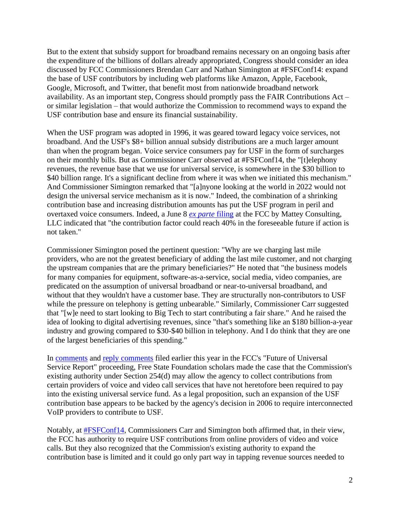But to the extent that subsidy support for broadband remains necessary on an ongoing basis after the expenditure of the billions of dollars already appropriated, Congress should consider an idea discussed by FCC Commissioners Brendan Carr and Nathan Simington at #FSFConf14: expand the base of USF contributors by including web platforms like Amazon, Apple, Facebook, Google, Microsoft, and Twitter, that benefit most from nationwide broadband network availability. As an important step, Congress should promptly pass the FAIR Contributions Act – or similar legislation – that would authorize the Commission to recommend ways to expand the USF contribution base and ensure its financial sustainability.

When the USF program was adopted in 1996, it was geared toward legacy voice services, not broadband. And the USF's \$8+ billion annual subsidy distributions are a much larger amount than when the program began. Voice service consumers pay for USF in the form of surcharges on their monthly bills. But as Commissioner Carr observed at #FSFConf14, the "[t]elephony revenues, the revenue base that we use for universal service, is somewhere in the \$30 billion to \$40 billion range. It's a significant decline from where it was when we initiated this mechanism." And Commissioner Simington remarked that "[a]nyone looking at the world in 2022 would not design the universal service mechanism as it is now." Indeed, the combination of a shrinking contribution base and increasing distribution amounts has put the USF program in peril and overtaxed voice consumers. Indeed, a June 8 *ex parte* [filing](https://www.neca.org/docs/default-source/wwpdf/public/6922mattey.pdf) at the FCC by Mattey Consulting, LLC indicated that "the contribution factor could reach 40% in the foreseeable future if action is not taken."

Commissioner Simington posed the pertinent question: "Why are we charging last mile providers, who are not the greatest beneficiary of adding the last mile customer, and not charging the upstream companies that are the primary beneficiaries?" He noted that "the business models for many companies for equipment, software-as-a-service, social media, video companies, are predicated on the assumption of universal broadband or near-to-universal broadband, and without that they wouldn't have a customer base. They are structurally non-contributors to USF while the pressure on telephony is getting unbearable." Similarly, Commissioner Carr suggested that "[w]e need to start looking to Big Tech to start contributing a fair share." And he raised the idea of looking to digital advertising revenues, since "that's something like an \$180 billion-a-year industry and growing compared to \$30-\$40 billion in telephony. And I do think that they are one of the largest beneficiaries of this spending."

In [comments](https://freestatefoundation.org/wp-content/uploads/2022/02/FSF-Comments-Report-on-the-Future-of-the-Universal-Service-Fund-021722.pdf) and [reply comments](https://freestatefoundation.org/wp-content/uploads/2022/03/FSF-Reply-Comments-Report-on-the-Future-of-the-Universal-Service-Fund-031722.pdf) filed earlier this year in the FCC's "Future of Universal Service Report" proceeding, Free State Foundation scholars made the case that the Commission's existing authority under Section 254(d) may allow the agency to collect contributions from certain providers of voice and video call services that have not heretofore been required to pay into the existing universal service fund. As a legal proposition, such an expansion of the USF contribution base appears to be backed by the agency's decision in 2006 to require interconnected VoIP providers to contribute to USF.

Notably, at **#FSFConf14**, Commissioners Carr and Simington both affirmed that, in their view, the FCC has authority to require USF contributions from online providers of video and voice calls. But they also recognized that the Commission's existing authority to expand the contribution base is limited and it could go only part way in tapping revenue sources needed to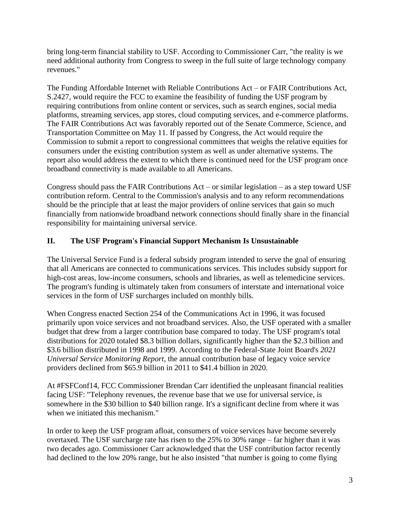bring long-term financial stability to USF. According to Commissioner Carr, "the reality is we need additional authority from Congress to sweep in the full suite of large technology company revenues."

The Funding Affordable Internet with Reliable Contributions Act – or FAIR Contributions Act, S.2427, would require the FCC to examine the feasibility of funding the USF program by requiring contributions from online content or services, such as search engines, social media platforms, streaming services, app stores, cloud computing services, and e-commerce platforms. The FAIR Contributions Act was favorably reported out of the Senate Commerce, Science, and Transportation Committee on May 11. If passed by Congress, the Act would require the Commission to submit a report to congressional committees that weighs the relative equities for consumers under the existing contribution system as well as under alternative systems. The report also would address the extent to which there is continued need for the USF program once broadband connectivity is made available to all Americans.

Congress should pass the FAIR Contributions  $Act - or$  similar legislation – as a step toward USF contribution reform. Central to the Commission's analysis and to any reform recommendations should be the principle that at least the major providers of online services that gain so much financially from nationwide broadband network connections should finally share in the financial responsibility for maintaining universal service.

## **II. The USF Program's Financial Support Mechanism Is Unsustainable**

The Universal Service Fund is a federal subsidy program intended to serve the goal of ensuring that all Americans are connected to communications services. This includes subsidy support for high-cost areas, low-income consumers, schools and libraries, as well as telemedicine services. The program's funding is ultimately taken from consumers of interstate and international voice services in the form of USF surcharges included on monthly bills.

When Congress enacted Section 254 of the Communications Act in 1996, it was focused primarily upon voice services and not broadband services. Also, the USF operated with a smaller budget that drew from a larger contribution base compared to today. The USF program's total distributions for 2020 totaled \$8.3 billion dollars, significantly higher than the \$2.3 billion and \$3.6 billion distributed in 1998 and 1999. According to the Federal-State Joint Board's *2021 Universal Service Monitoring Report*, the annual contribution base of legacy voice service providers declined from \$65.9 billion in 2011 to \$41.4 billion in 2020.

At #FSFConf14, FCC Commissioner Brendan Carr identified the unpleasant financial realities facing USF: "Telephony revenues, the revenue base that we use for universal service, is somewhere in the \$30 billion to \$40 billion range. It's a significant decline from where it was when we initiated this mechanism."

In order to keep the USF program afloat, consumers of voice services have become severely overtaxed. The USF surcharge rate has risen to the 25% to 30% range – far higher than it was two decades ago. Commissioner Carr acknowledged that the USF contribution factor recently had declined to the low 20% range, but he also insisted "that number is going to come flying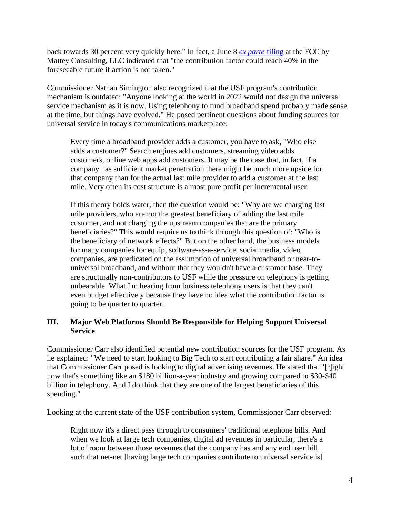back towards 30 percent very quickly here." In fact, a June 8 *[ex parte](https://www.neca.org/docs/default-source/wwpdf/public/6922mattey.pdf)* filing at the FCC by Mattey Consulting, LLC indicated that "the contribution factor could reach 40% in the foreseeable future if action is not taken."

Commissioner Nathan Simington also recognized that the USF program's contribution mechanism is outdated: "Anyone looking at the world in 2022 would not design the universal service mechanism as it is now. Using telephony to fund broadband spend probably made sense at the time, but things have evolved." He posed pertinent questions about funding sources for universal service in today's communications marketplace:

Every time a broadband provider adds a customer, you have to ask, "Who else adds a customer?" Search engines add customers, streaming video adds customers, online web apps add customers. It may be the case that, in fact, if a company has sufficient market penetration there might be much more upside for that company than for the actual last mile provider to add a customer at the last mile. Very often its cost structure is almost pure profit per incremental user.

If this theory holds water, then the question would be: "Why are we charging last mile providers, who are not the greatest beneficiary of adding the last mile customer, and not charging the upstream companies that are the primary beneficiaries?" This would require us to think through this question of: "Who is the beneficiary of network effects?" But on the other hand, the business models for many companies for equip, software-as-a-service, social media, video companies, are predicated on the assumption of universal broadband or near-touniversal broadband, and without that they wouldn't have a customer base. They are structurally non-contributors to USF while the pressure on telephony is getting unbearable. What I'm hearing from business telephony users is that they can't even budget effectively because they have no idea what the contribution factor is going to be quarter to quarter.

#### **III. Major Web Platforms Should Be Responsible for Helping Support Universal Service**

Commissioner Carr also identified potential new contribution sources for the USF program. As he explained: "We need to start looking to Big Tech to start contributing a fair share." An idea that Commissioner Carr posed is looking to digital advertising revenues. He stated that "[r]ight now that's something like an \$180 billion-a-year industry and growing compared to \$30-\$40 billion in telephony. And I do think that they are one of the largest beneficiaries of this spending."

Looking at the current state of the USF contribution system, Commissioner Carr observed:

Right now it's a direct pass through to consumers' traditional telephone bills. And when we look at large tech companies, digital ad revenues in particular, there's a lot of room between those revenues that the company has and any end user bill such that net-net [having large tech companies contribute to universal service is]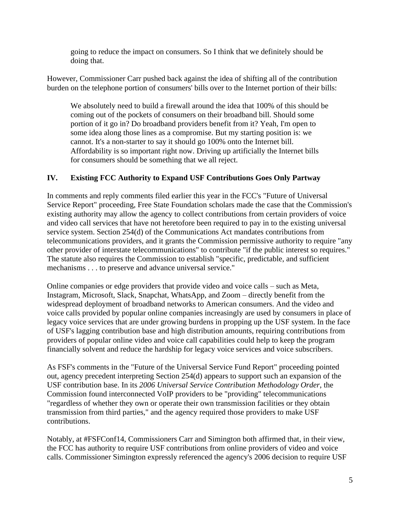going to reduce the impact on consumers. So I think that we definitely should be doing that.

However, Commissioner Carr pushed back against the idea of shifting all of the contribution burden on the telephone portion of consumers' bills over to the Internet portion of their bills:

We absolutely need to build a firewall around the idea that 100% of this should be coming out of the pockets of consumers on their broadband bill. Should some portion of it go in? Do broadband providers benefit from it? Yeah, I'm open to some idea along those lines as a compromise. But my starting position is: we cannot. It's a non-starter to say it should go 100% onto the Internet bill. Affordability is so important right now. Driving up artificially the Internet bills for consumers should be something that we all reject.

## **IV. Existing FCC Authority to Expand USF Contributions Goes Only Partway**

In comments and reply comments filed earlier this year in the FCC's "Future of Universal Service Report" proceeding, Free State Foundation scholars made the case that the Commission's existing authority may allow the agency to collect contributions from certain providers of voice and video call services that have not heretofore been required to pay in to the existing universal service system. Section 254(d) of the Communications Act mandates contributions from telecommunications providers, and it grants the Commission permissive authority to require "any other provider of interstate telecommunications" to contribute "if the public interest so requires." The statute also requires the Commission to establish "specific, predictable, and sufficient mechanisms . . . to preserve and advance universal service."

Online companies or edge providers that provide video and voice calls – such as Meta, Instagram, Microsoft, Slack, Snapchat, WhatsApp, and Zoom – directly benefit from the widespread deployment of broadband networks to American consumers. And the video and voice calls provided by popular online companies increasingly are used by consumers in place of legacy voice services that are under growing burdens in propping up the USF system. In the face of USF's lagging contribution base and high distribution amounts, requiring contributions from providers of popular online video and voice call capabilities could help to keep the program financially solvent and reduce the hardship for legacy voice services and voice subscribers.

As FSF's comments in the "Future of the Universal Service Fund Report" proceeding pointed out, agency precedent interpreting Section 254(d) appears to support such an expansion of the USF contribution base. In its *2006 Universal Service Contribution Methodology Order*, the Commission found interconnected VoIP providers to be "providing" telecommunications "regardless of whether they own or operate their own transmission facilities or they obtain transmission from third parties," and the agency required those providers to make USF contributions.

Notably, at #FSFConf14, Commissioners Carr and Simington both affirmed that, in their view, the FCC has authority to require USF contributions from online providers of video and voice calls. Commissioner Simington expressly referenced the agency's 2006 decision to require USF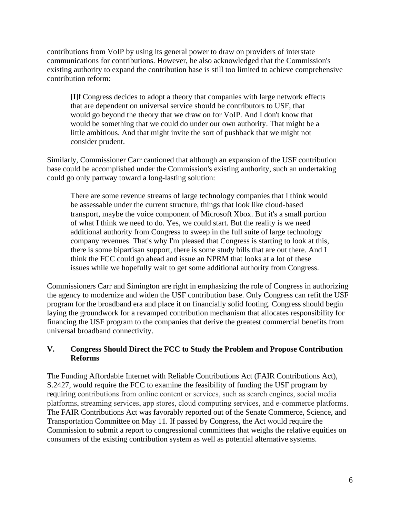contributions from VoIP by using its general power to draw on providers of interstate communications for contributions. However, he also acknowledged that the Commission's existing authority to expand the contribution base is still too limited to achieve comprehensive contribution reform:

[I]f Congress decides to adopt a theory that companies with large network effects that are dependent on universal service should be contributors to USF, that would go beyond the theory that we draw on for VoIP. And I don't know that would be something that we could do under our own authority. That might be a little ambitious. And that might invite the sort of pushback that we might not consider prudent.

Similarly, Commissioner Carr cautioned that although an expansion of the USF contribution base could be accomplished under the Commission's existing authority, such an undertaking could go only partway toward a long-lasting solution:

There are some revenue streams of large technology companies that I think would be assessable under the current structure, things that look like cloud-based transport, maybe the voice component of Microsoft Xbox. But it's a small portion of what I think we need to do. Yes, we could start. But the reality is we need additional authority from Congress to sweep in the full suite of large technology company revenues. That's why I'm pleased that Congress is starting to look at this, there is some bipartisan support, there is some study bills that are out there. And I think the FCC could go ahead and issue an NPRM that looks at a lot of these issues while we hopefully wait to get some additional authority from Congress.

Commissioners Carr and Simington are right in emphasizing the role of Congress in authorizing the agency to modernize and widen the USF contribution base. Only Congress can refit the USF program for the broadband era and place it on financially solid footing. Congress should begin laying the groundwork for a revamped contribution mechanism that allocates responsibility for financing the USF program to the companies that derive the greatest commercial benefits from universal broadband connectivity.

#### **V. Congress Should Direct the FCC to Study the Problem and Propose Contribution Reforms**

The Funding Affordable Internet with Reliable Contributions Act (FAIR Contributions Act), S.2427, would require the FCC to examine the feasibility of funding the USF program by requiring contributions from online content or services, such as search engines, social media platforms, streaming services, app stores, cloud computing services, and e-commerce platforms. The FAIR Contributions Act was favorably reported out of the Senate Commerce, Science, and Transportation Committee on May 11. If passed by Congress, the Act would require the Commission to submit a report to congressional committees that weighs the relative equities on consumers of the existing contribution system as well as potential alternative systems.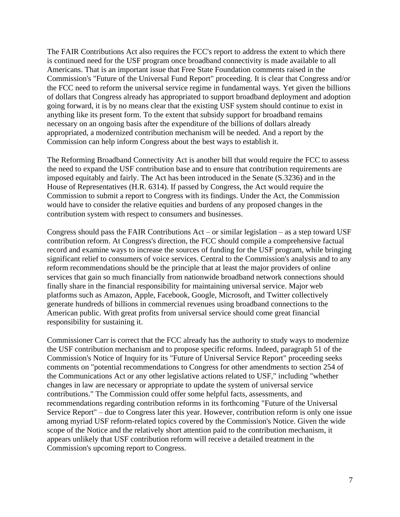The FAIR Contributions Act also requires the FCC's report to address the extent to which there is continued need for the USF program once broadband connectivity is made available to all Americans. That is an important issue that Free State Foundation comments raised in the Commission's "Future of the Universal Fund Report" proceeding. It is clear that Congress and/or the FCC need to reform the universal service regime in fundamental ways. Yet given the billions of dollars that Congress already has appropriated to support broadband deployment and adoption going forward, it is by no means clear that the existing USF system should continue to exist in anything like its present form. To the extent that subsidy support for broadband remains necessary on an ongoing basis after the expenditure of the billions of dollars already appropriated, a modernized contribution mechanism will be needed. And a report by the Commission can help inform Congress about the best ways to establish it.

The Reforming Broadband Connectivity Act is another bill that would require the FCC to assess the need to expand the USF contribution base and to ensure that contribution requirements are imposed equitably and fairly. The Act has been introduced in the Senate (S.3236) and in the House of Representatives (H.R. 6314). If passed by Congress, the Act would require the Commission to submit a report to Congress with its findings. Under the Act, the Commission would have to consider the relative equities and burdens of any proposed changes in the contribution system with respect to consumers and businesses.

Congress should pass the FAIR Contributions  $Act - or$  similar legislation – as a step toward USF contribution reform. At Congress's direction, the FCC should compile a comprehensive factual record and examine ways to increase the sources of funding for the USF program, while bringing significant relief to consumers of voice services. Central to the Commission's analysis and to any reform recommendations should be the principle that at least the major providers of online services that gain so much financially from nationwide broadband network connections should finally share in the financial responsibility for maintaining universal service. Major web platforms such as Amazon, Apple, Facebook, Google, Microsoft, and Twitter collectively generate hundreds of billions in commercial revenues using broadband connections to the American public. With great profits from universal service should come great financial responsibility for sustaining it.

Commissioner Carr is correct that the FCC already has the authority to study ways to modernize the USF contribution mechanism and to propose specific reforms. Indeed, paragraph 51 of the Commission's Notice of Inquiry for its "Future of Universal Service Report" proceeding seeks comments on "potential recommendations to Congress for other amendments to section 254 of the Communications Act or any other legislative actions related to USF," including "whether changes in law are necessary or appropriate to update the system of universal service contributions." The Commission could offer some helpful facts, assessments, and recommendations regarding contribution reforms in its forthcoming "Future of the Universal Service Report" – due to Congress later this year. However, contribution reform is only one issue among myriad USF reform-related topics covered by the Commission's Notice. Given the wide scope of the Notice and the relatively short attention paid to the contribution mechanism, it appears unlikely that USF contribution reform will receive a detailed treatment in the Commission's upcoming report to Congress.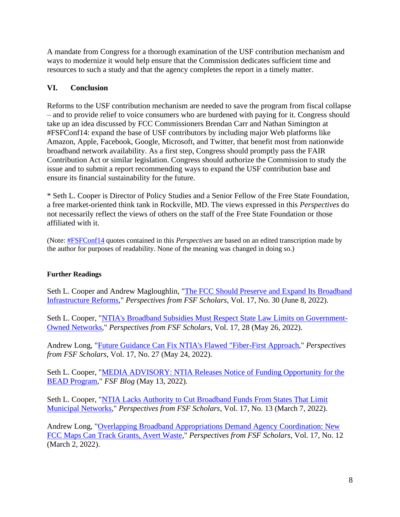A mandate from Congress for a thorough examination of the USF contribution mechanism and ways to modernize it would help ensure that the Commission dedicates sufficient time and resources to such a study and that the agency completes the report in a timely matter.

# **VI. Conclusion**

Reforms to the USF contribution mechanism are needed to save the program from fiscal collapse – and to provide relief to voice consumers who are burdened with paying for it. Congress should take up an idea discussed by FCC Commissioners Brendan Carr and Nathan Simington at #FSFConf14: expand the base of USF contributors by including major Web platforms like Amazon, Apple, Facebook, Google, Microsoft, and Twitter, that benefit most from nationwide broadband network availability. As a first step, Congress should promptly pass the FAIR Contribution Act or similar legislation. Congress should authorize the Commission to study the issue and to submit a report recommending ways to expand the USF contribution base and ensure its financial sustainability for the future.

\* Seth L. Cooper is Director of Policy Studies and a Senior Fellow of the Free State Foundation, a free market-oriented think tank in Rockville, MD. The views expressed in this *Perspectives* do not necessarily reflect the views of others on the staff of the Free State Foundation or those affiliated with it.

(Note: [#FSFConf14](https://www.youtube.com/watch?v=8iYwG2gJ_qY&t=912s) quotes contained in this *Perspectives* are based on an edited transcription made by the author for purposes of readability. None of the meaning was changed in doing so.)

# **Further Readings**

Seth L. Cooper and Andrew Magloughlin, ["The FCC Should Preserve and Expand Its Broadband](https://freestatefoundation.org/wp-content/uploads/2022/06/The-FCC-Should-Preserve-and-Expand-its-Broadband-Infrastructure-Reforms-060822.pdf)  [Infrastructure Reforms,](https://freestatefoundation.org/wp-content/uploads/2022/06/The-FCC-Should-Preserve-and-Expand-its-Broadband-Infrastructure-Reforms-060822.pdf)" *Perspectives from FSF Scholars*, Vol. 17, No. 30 (June 8, 2022).

Seth L. Cooper, ["NTIA's Broadband Subsidies Must Respect State Law Limits on Government-](https://freestatefoundation.org/wp-content/uploads/2022/05/NTIAs-Broadband-Subsidies-Must-Respect-State-Law-Limits-on-Government-Owned-Networks-052622.pdf)[Owned Networks,](https://freestatefoundation.org/wp-content/uploads/2022/05/NTIAs-Broadband-Subsidies-Must-Respect-State-Law-Limits-on-Government-Owned-Networks-052622.pdf)" *Perspectives from FSF Scholars*, Vol. 17, 28 (May 26, 2022).

Andrew Long, ["Future Guidance Can Fix NTIA's Flawed "Fiber-First Approach,](https://freestatefoundation.org/wp-content/uploads/2022/05/Future-Guidance-Can-Fix-NTIAs-Flawed-Fiber-First-Approach-052322-kb-edits.pdf)" *Perspectives from FSF Scholars*, Vol. 17, No. 27 (May 24, 2022).

Seth L. Cooper, ["MEDIA ADVISORY: NTIA Releases Notice of Funding Opportunity for the](http://freestatefoundation.blogspot.com/2022/05/media-advisory-ntia-releases-notice-of.html)  [BEAD Program,](http://freestatefoundation.blogspot.com/2022/05/media-advisory-ntia-releases-notice-of.html)" *FSF Blog* (May 13, 2022).

Seth L. Cooper, ["NTIA Lacks Authority to Cut Broadband Funds From States That Limit](https://freestatefoundation.org/wp-content/uploads/2022/03/NTIA-Lacks-Authority-to-Cut-Broadband-Funds-From-States-That-Limit-Municipal-Networks-030722.pdf)  [Municipal Networks,](https://freestatefoundation.org/wp-content/uploads/2022/03/NTIA-Lacks-Authority-to-Cut-Broadband-Funds-From-States-That-Limit-Municipal-Networks-030722.pdf)" *Perspectives from FSF Scholars*, Vol. 17, No. 13 (March 7, 2022).

Andrew Long, ["Overlapping Broadband Appropriations Demand Agency Coordination: New](https://freestatefoundation.org/wp-content/uploads/2022/03/Overlapping-Broadband-Appropriations-Demand-Agency-Coordination-030222.pdf)  [FCC Maps Can Track Grants, Avert Waste,](https://freestatefoundation.org/wp-content/uploads/2022/03/Overlapping-Broadband-Appropriations-Demand-Agency-Coordination-030222.pdf)" *Perspectives from FSF Scholars*, Vol. 17, No. 12 (March 2, 2022).